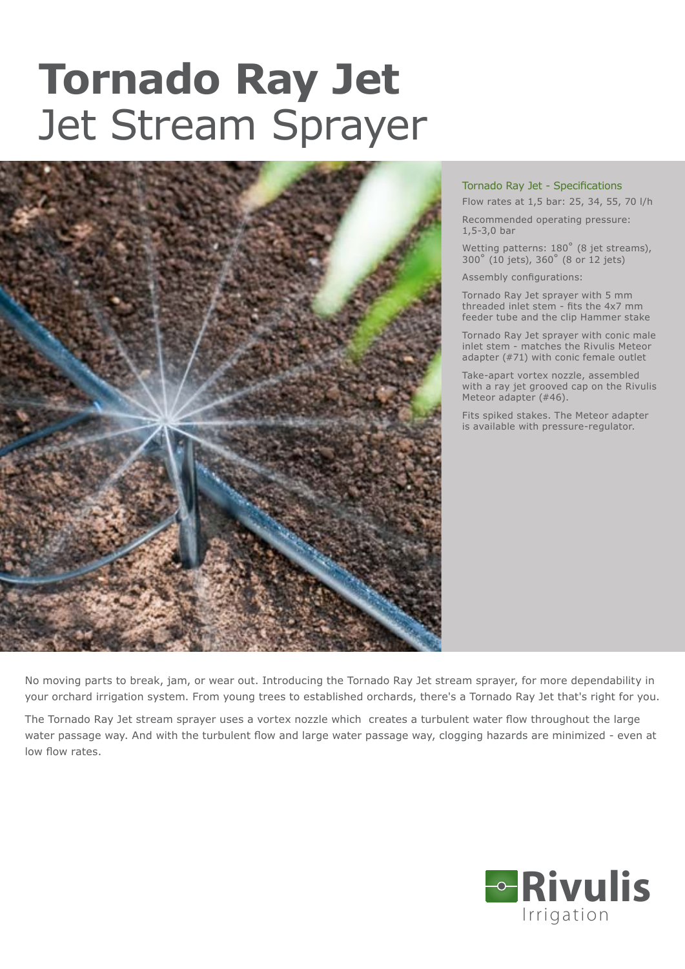## **Tornado Ray Jet** Jet Stream Sprayer



## Tornado Ray Jet - Specifications

Flow rates at 1,5 bar: 25, 34, 55, 70 l/h

Recommended operating pressure: 1,5-3,0 bar

Wetting patterns: 180° (8 jet streams), 300˚ (10 jets), 360˚ (8 or 12 jets)

Assembly configurations:

Tornado Ray Jet sprayer with 5 mm threaded inlet stem - fits the 4x7 mm feeder tube and the clip Hammer stake

Tornado Ray Jet sprayer with conic male inlet stem - matches the Rivulis Meteor adapter (#71) with conic female outlet

Take-apart vortex nozzle, assembled with a ray jet grooved cap on the Rivulis Meteor adapter (#46).

Fits spiked stakes. The Meteor adapter is available with pressure-regulator.

No moving parts to break, jam, or wear out. Introducing the Tornado Ray Jet stream sprayer, for more dependability in your orchard irrigation system. From young trees to established orchards, there's a Tornado Ray Jet that's right for you.

The Tornado Ray Jet stream sprayer uses a vortex nozzle which creates a turbulent water flow throughout the large water passage way. And with the turbulent flow and large water passage way, clogging hazards are minimized - even at low flow rates.